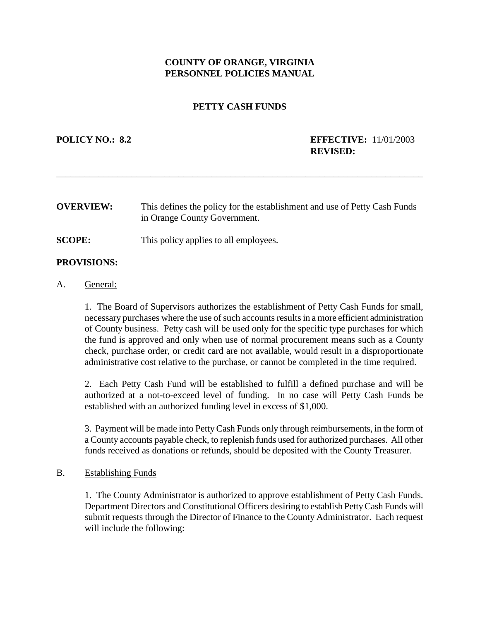# **COUNTY OF ORANGE, VIRGINIA PERSONNEL POLICIES MANUAL**

## **PETTY CASH FUNDS**

## **POLICY NO.: 8.2 EFFECTIVE:** 11/01/2003 **REVISED:**

**OVERVIEW:** This defines the policy for the establishment and use of Petty Cash Funds in Orange County Government.

\_\_\_\_\_\_\_\_\_\_\_\_\_\_\_\_\_\_\_\_\_\_\_\_\_\_\_\_\_\_\_\_\_\_\_\_\_\_\_\_\_\_\_\_\_\_\_\_\_\_\_\_\_\_\_\_\_\_\_\_\_\_\_\_\_\_\_\_\_\_\_\_\_\_\_\_\_\_

**SCOPE:** This policy applies to all employees.

#### **PROVISIONS:**

#### A. General:

1. The Board of Supervisors authorizes the establishment of Petty Cash Funds for small, necessary purchases where the use of such accounts results in a more efficient administration of County business. Petty cash will be used only for the specific type purchases for which the fund is approved and only when use of normal procurement means such as a County check, purchase order, or credit card are not available, would result in a disproportionate administrative cost relative to the purchase, or cannot be completed in the time required.

2. Each Petty Cash Fund will be established to fulfill a defined purchase and will be authorized at a not-to-exceed level of funding. In no case will Petty Cash Funds be established with an authorized funding level in excess of \$1,000.

3. Payment will be made into Petty Cash Funds only through reimbursements, in the form of a County accounts payable check, to replenish funds used for authorized purchases. All other funds received as donations or refunds, should be deposited with the County Treasurer.

### B. Establishing Funds

1. The County Administrator is authorized to approve establishment of Petty Cash Funds. Department Directors and Constitutional Officers desiring to establish Petty Cash Funds will submit requests through the Director of Finance to the County Administrator. Each request will include the following: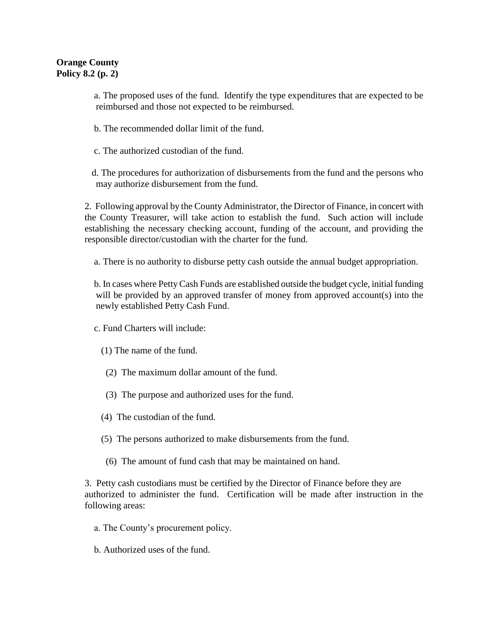a. The proposed uses of the fund. Identify the type expenditures that are expected to be reimbursed and those not expected to be reimbursed.

b. The recommended dollar limit of the fund.

c. The authorized custodian of the fund.

 d. The procedures for authorization of disbursements from the fund and the persons who may authorize disbursement from the fund.

2. Following approval by the County Administrator, the Director of Finance, in concert with the County Treasurer, will take action to establish the fund. Such action will include establishing the necessary checking account, funding of the account, and providing the responsible director/custodian with the charter for the fund.

a. There is no authority to disburse petty cash outside the annual budget appropriation.

 b. In cases where Petty Cash Funds are established outside the budget cycle, initial funding will be provided by an approved transfer of money from approved account(s) into the newly established Petty Cash Fund.

c. Fund Charters will include:

- (1) The name of the fund.
- (2) The maximum dollar amount of the fund.
- (3) The purpose and authorized uses for the fund.
- (4) The custodian of the fund.
- (5) The persons authorized to make disbursements from the fund.
- (6) The amount of fund cash that may be maintained on hand.

3. Petty cash custodians must be certified by the Director of Finance before they are authorized to administer the fund. Certification will be made after instruction in the following areas:

- a. The County's procurement policy.
- b. Authorized uses of the fund.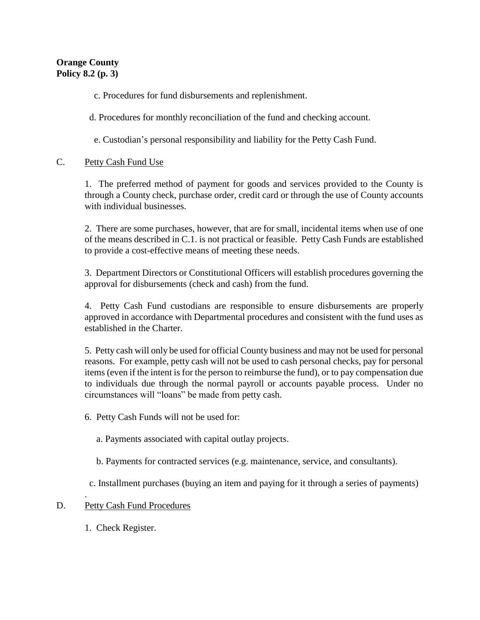c. Procedures for fund disbursements and replenishment.

d. Procedures for monthly reconciliation of the fund and checking account.

e. Custodian's personal responsibility and liability for the Petty Cash Fund.

# C. Petty Cash Fund Use

1. The preferred method of payment for goods and services provided to the County is through a County check, purchase order, credit card or through the use of County accounts with individual businesses.

2. There are some purchases, however, that are for small, incidental items when use of one of the means described in C.1. is not practical or feasible. Petty Cash Funds are established to provide a cost-effective means of meeting these needs.

3. Department Directors or Constitutional Officers will establish procedures governing the approval for disbursements (check and cash) from the fund.

4. Petty Cash Fund custodians are responsible to ensure disbursements are properly approved in accordance with Departmental procedures and consistent with the fund uses as established in the Charter.

5. Petty cash will only be used for official County business and may not be used for personal reasons. For example, petty cash will not be used to cash personal checks, pay for personal items (even if the intent is for the person to reimburse the fund), or to pay compensation due to individuals due through the normal payroll or accounts payable process. Under no circumstances will "loans" be made from petty cash.

6. Petty Cash Funds will not be used for:

a. Payments associated with capital outlay projects.

b. Payments for contracted services (e.g. maintenance, service, and consultants).

c. Installment purchases (buying an item and paying for it through a series of payments)

## . D. Petty Cash Fund Procedures

1. Check Register.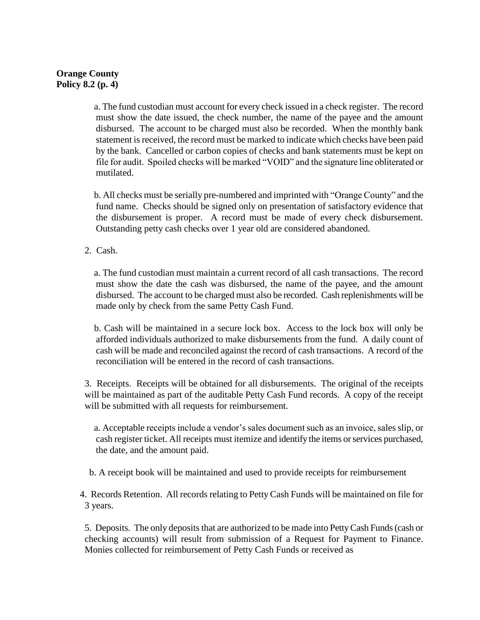# **Orange County Policy 8.2 (p. 4)**

 a. The fund custodian must account for every check issued in a check register. The record must show the date issued, the check number, the name of the payee and the amount disbursed. The account to be charged must also be recorded. When the monthly bank statement is received, the record must be marked to indicate which checks have been paid by the bank. Cancelled or carbon copies of checks and bank statements must be kept on file for audit. Spoiled checks will be marked "VOID" and the signature line obliterated or mutilated.

 b. All checks must be serially pre-numbered and imprinted with "Orange County" and the fund name. Checks should be signed only on presentation of satisfactory evidence that the disbursement is proper. A record must be made of every check disbursement. Outstanding petty cash checks over 1 year old are considered abandoned.

2. Cash.

 a. The fund custodian must maintain a current record of all cash transactions. The record must show the date the cash was disbursed, the name of the payee, and the amount disbursed. The account to be charged must also be recorded. Cash replenishments will be made only by check from the same Petty Cash Fund.

 b. Cash will be maintained in a secure lock box. Access to the lock box will only be afforded individuals authorized to make disbursements from the fund. A daily count of cash will be made and reconciled against the record of cash transactions. A record of the reconciliation will be entered in the record of cash transactions.

3. Receipts. Receipts will be obtained for all disbursements. The original of the receipts will be maintained as part of the auditable Petty Cash Fund records. A copy of the receipt will be submitted with all requests for reimbursement.

 a. Acceptable receipts include a vendor's sales document such as an invoice, sales slip, or cash register ticket. All receipts must itemize and identify the items or services purchased, the date, and the amount paid.

b. A receipt book will be maintained and used to provide receipts for reimbursement

 4. Records Retention. All records relating to Petty Cash Funds will be maintained on file for 3 years.

5. Deposits. The only deposits that are authorized to be made into Petty Cash Funds (cash or checking accounts) will result from submission of a Request for Payment to Finance. Monies collected for reimbursement of Petty Cash Funds or received as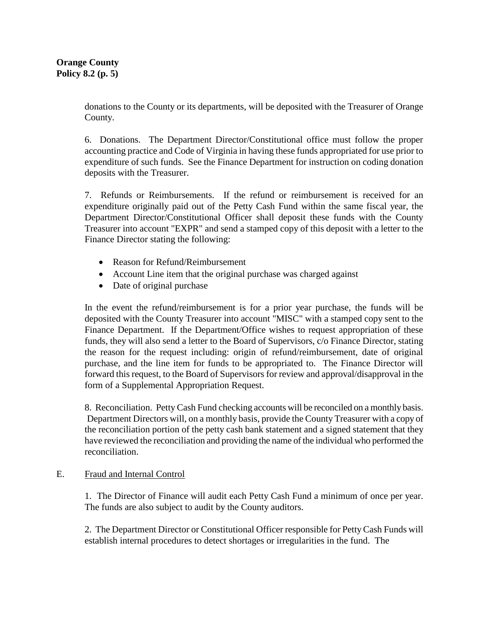donations to the County or its departments, will be deposited with the Treasurer of Orange County.

6. Donations. The Department Director/Constitutional office must follow the proper accounting practice and Code of Virginia in having these funds appropriated for use prior to expenditure of such funds. See the Finance Department for instruction on coding donation deposits with the Treasurer.

7. Refunds or Reimbursements. If the refund or reimbursement is received for an expenditure originally paid out of the Petty Cash Fund within the same fiscal year, the Department Director/Constitutional Officer shall deposit these funds with the County Treasurer into account "EXPR" and send a stamped copy of this deposit with a letter to the Finance Director stating the following:

- Reason for Refund/Reimbursement
- Account Line item that the original purchase was charged against
- Date of original purchase

In the event the refund/reimbursement is for a prior year purchase, the funds will be deposited with the County Treasurer into account "MISC" with a stamped copy sent to the Finance Department. If the Department/Office wishes to request appropriation of these funds, they will also send a letter to the Board of Supervisors, c/o Finance Director, stating the reason for the request including: origin of refund/reimbursement, date of original purchase, and the line item for funds to be appropriated to. The Finance Director will forward this request, to the Board of Supervisors for review and approval/disapproval in the form of a Supplemental Appropriation Request.

8. Reconciliation. Petty Cash Fund checking accounts will be reconciled on a monthly basis. Department Directors will, on a monthly basis, provide the County Treasurer with a copy of the reconciliation portion of the petty cash bank statement and a signed statement that they have reviewed the reconciliation and providing the name of the individual who performed the reconciliation.

## E. Fraud and Internal Control

1. The Director of Finance will audit each Petty Cash Fund a minimum of once per year. The funds are also subject to audit by the County auditors.

2. The Department Director or Constitutional Officer responsible for Petty Cash Funds will establish internal procedures to detect shortages or irregularities in the fund. The